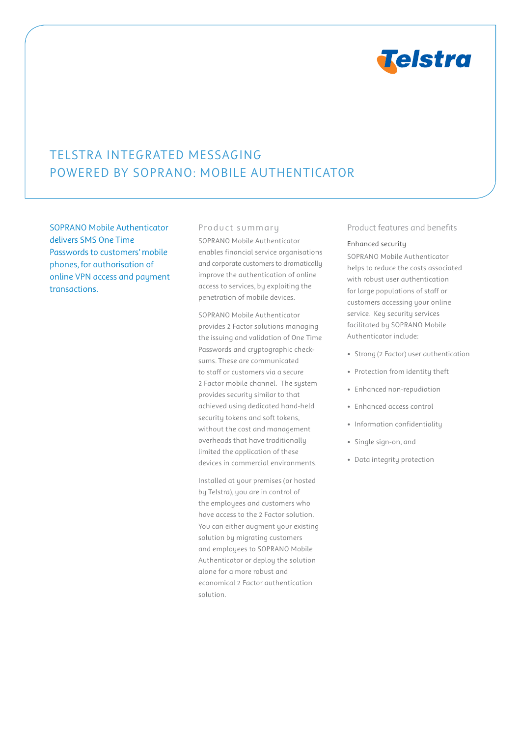

# Telstra Integrated Messaging powered by Soprano: Mobile Authenticator

SOPRANO Mobile Authenticator delivers SMS One Time Passwords to customers' mobile phones, for authorisation of online VPN access and payment transactions.

## Product summary

SOPRANO Mobile Authenticator enables financial service organisations and corporate customers to dramatically improve the authentication of online access to services, by exploiting the penetration of mobile devices.

SOPRANO Mobile Authenticator provides 2 Factor solutions managing the issuing and validation of One Time Passwords and cryptographic checksums. These are communicated to staff or customers via a secure 2 Factor mobile channel. The system provides security similar to that achieved using dedicated hand-held security tokens and soft tokens, without the cost and management overheads that have traditionally limited the application of these devices in commercial environments.

Installed at your premises (or hosted by Telstra), you are in control of the employees and customers who have access to the 2 Factor solution. You can either augment your existing solution by migrating customers and employees to SOPRANO Mobile Authenticator or deploy the solution alone for a more robust and economical 2 Factor authentication solution.

## Product features and benefits

#### Enhanced security

SOPRANO Mobile Authenticator helps to reduce the costs associated with robust user authentication for large populations of staff or customers accessing your online service. Key security services facilitated by SOPRANO Mobile Authenticator include:

- Strong (2 Factor) user authentication
- Protection from identity theft
- Enhanced non-repudiation
- Enhanced access control
- Information confidentiality
- Single sign-on, and
- Data integrity protection